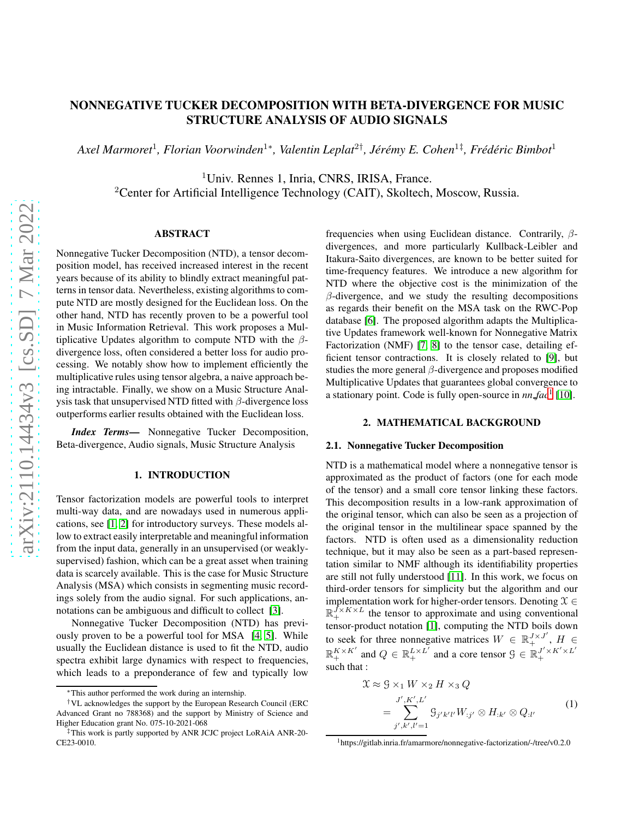# NONNEGATIVE TUCKER DECOMPOSITION WITH BETA-DIVERGENCE FOR MUSIC STRUCTURE ANALYSIS OF AUDIO SIGNALS

*Axel Marmoret<sup>1</sup>, Florian Voorwinden<sup>1</sup>\*, Valentin Leplat<sup>2†</sup>, Jérémy E. Cohen<sup>1‡</sup>, Frédéric Bimbot<sup>1</sup>* 

<sup>1</sup>Univ. Rennes 1, Inria, CNRS, IRISA, France.

<sup>2</sup>Center for Artificial Intelligence Technology (CAIT), Skoltech, Moscow, Russia.

# ABSTRACT

Nonnegative Tucker Decomposition (NTD), a tensor decomposition model, has received increased interest in the recent years because of its ability to blindly extract meaningful patterns in tensor data. Nevertheless, existing algorithms to compute NTD are mostly designed for the Euclidean loss. On the other hand, NTD has recently proven to be a powerful tool in Music Information Retrieval. This work proposes a Multiplicative Updates algorithm to compute NTD with the  $\beta$ divergence loss, often considered a better loss for audio processing. We notably show how to implement efficiently the multiplicative rules using tensor algebra, a naive approach being intractable. Finally, we show on a Music Structure Analysis task that unsupervised NTD fitted with  $\beta$ -divergence loss outperforms earlier results obtained with the Euclidean loss.

*Index Terms*— Nonnegative Tucker Decomposition, Beta-divergence, Audio signals, Music Structure Analysis

# 1. INTRODUCTION

Tensor factorization models are powerful tools to interpret multi-way data, and are nowadays used in numerous applications, see [\[1,](#page-4-0) [2\]](#page-4-1) for introductory surveys. These models allow to extract easily interpretable and meaningful information from the input data, generally in an unsupervised (or weaklysupervised) fashion, which can be a great asset when training data is scarcely available. This is the case for Music Structure Analysis (MSA) which consists in segmenting music recordings solely from the audio signal. For such applications, annotations can be ambiguous and difficult to collect [\[3\]](#page-4-2).

Nonnegative Tucker Decomposition (NTD) has previously proven to be a powerful tool for MSA [\[4,](#page-4-3) [5\]](#page-4-4). While usually the Euclidean distance is used to fit the NTD, audio spectra exhibit large dynamics with respect to frequencies, which leads to a preponderance of few and typically low

frequencies when using Euclidean distance. Contrarily,  $\beta$ divergences, and more particularly Kullback-Leibler and Itakura-Saito divergences, are known to be better suited for time-frequency features. We introduce a new algorithm for NTD where the objective cost is the minimization of the  $\beta$ -divergence, and we study the resulting decompositions as regards their benefit on the MSA task on the RWC-Pop database [\[6\]](#page-4-5). The proposed algorithm adapts the Multiplicative Updates framework well-known for Nonnegative Matrix Factorization (NMF) [\[7,](#page-4-6) [8\]](#page-4-7) to the tensor case, detailing efficient tensor contractions. It is closely related to [\[9\]](#page-4-8), but studies the more general  $\beta$ -divergence and proposes modified Multiplicative Updates that guarantees global convergence to a stationary point. Code is fully open-source in  $nn$  *fac*<sup>[1](#page-0-0)</sup> [\[10\]](#page-4-9).

#### 2. MATHEMATICAL BACKGROUND

#### 2.1. Nonnegative Tucker Decomposition

NTD is a mathematical model where a nonnegative tensor is approximated as the product of factors (one for each mode of the tensor) and a small core tensor linking these factors. This decomposition results in a low-rank approximation of the original tensor, which can also be seen as a projection of the original tensor in the multilinear space spanned by the factors. NTD is often used as a dimensionality reduction technique, but it may also be seen as a part-based representation similar to NMF although its identifiability properties are still not fully understood [\[11\]](#page-4-10). In this work, we focus on third-order tensors for simplicity but the algorithm and our implementation work for higher-order tensors. Denoting  $\mathcal{X} \in$  $\mathbb{R}_+^{J \times K \times L}$  the tensor to approximate and using conventional tensor-product notation [\[1\]](#page-4-0), computing the NTD boils down to seek for three nonnegative matrices  $W \in \mathbb{R}_+^{J \times J'}$ ,  $H \in$  $\mathbb{R}_+^{K \times K'}$  and  $Q \in \mathbb{R}_+^{L \times L'}$  and a core tensor  $\mathcal{G} \in \mathbb{R}_+^{J' \times K' \times L'}$ + such that :

$$
\mathcal{X} \approx \mathcal{G} \times_1 W \times_2 H \times_3 Q
$$
\n
$$
= \sum_{j',k',l'=1}^{J',K',L'} \mathcal{G}_{j'k'l'} W_{:j'} \otimes H_{:k'} \otimes Q_{:l'}
$$
\n(1)

<sup>∗</sup>This author performed the work during an internship.

<sup>†</sup>VL acknowledges the support by the European Research Council (ERC Advanced Grant no 788368) and the support by Ministry of Science and Higher Education grant No. 075-10-2021-068

<sup>‡</sup>This work is partly supported by ANR JCJC project LoRAiA ANR-20- CE23-0010.

<span id="page-0-0"></span> $1$ https://gitlab.inria.fr/amarmore/nonnegative-factorization/-/tree/v0.2.0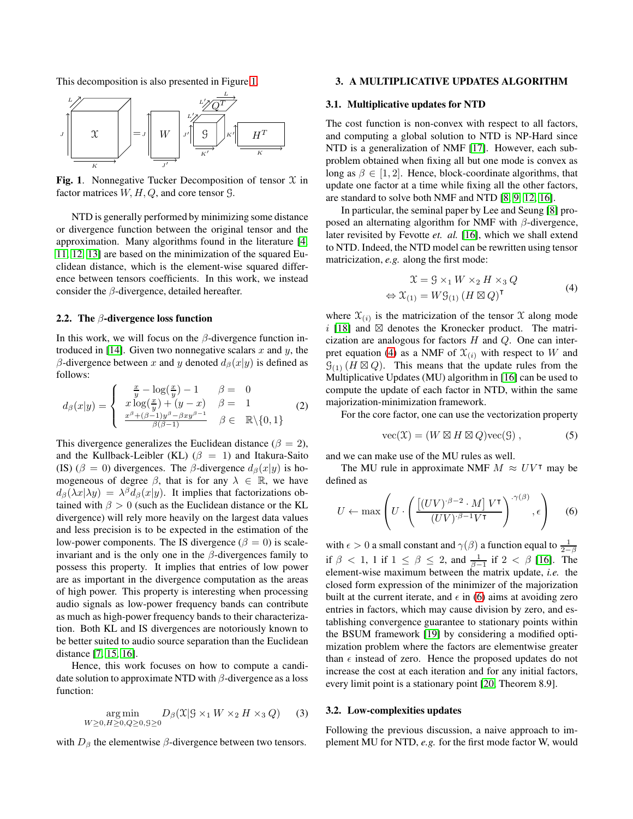This decomposition is also presented in Figure [1.](#page-1-0)



<span id="page-1-0"></span>Fig. 1. Nonnegative Tucker Decomposition of tensor  $X$  in factor matrices  $W, H, Q$ , and core tensor  $\mathcal{G}$ .

NTD is generally performed by minimizing some distance or divergence function between the original tensor and the approximation. Many algorithms found in the literature [\[4,](#page-4-3) [11,](#page-4-10) [12,](#page-4-11) [13\]](#page-4-12) are based on the minimization of the squared Euclidean distance, which is the element-wise squared difference between tensors coefficients. In this work, we instead consider the  $\beta$ -divergence, detailed hereafter.

## 2.2. The  $\beta$ -divergence loss function

In this work, we will focus on the  $\beta$ -divergence function in-troduced in [\[14\]](#page-4-13). Given two nonnegative scalars  $x$  and  $y$ , the β-divergence between x and y denoted  $d<sub>β</sub>(x|y)$  is defined as follows:

$$
d_{\beta}(x|y) = \begin{cases} \frac{x}{y} - \log(\frac{x}{y}) - 1 & \beta = 0\\ x \log(\frac{x}{y}) + (y - x) & \beta = 1\\ \frac{x^{\beta} + (\beta - 1)y^{\beta} - \beta xy^{\beta - 1}}{\beta(\beta - 1)} & \beta \in \mathbb{R} \setminus \{0, 1\} \end{cases}
$$
 (2)

This divergence generalizes the Euclidean distance ( $\beta = 2$ ), and the Kullback-Leibler (KL) ( $\beta = 1$ ) and Itakura-Saito (IS) ( $\beta = 0$ ) divergences. The  $\beta$ -divergence  $d_{\beta}(x|y)$  is homogeneous of degree  $\beta$ , that is for any  $\lambda \in \mathbb{R}$ , we have  $d_{\beta}(\lambda x | \lambda y) = \lambda^{\beta} d_{\beta}(x | y)$ . It implies that factorizations obtained with  $\beta > 0$  (such as the Euclidean distance or the KL divergence) will rely more heavily on the largest data values and less precision is to be expected in the estimation of the low-power components. The IS divergence ( $\beta = 0$ ) is scaleinvariant and is the only one in the  $\beta$ -divergences family to possess this property. It implies that entries of low power are as important in the divergence computation as the areas of high power. This property is interesting when processing audio signals as low-power frequency bands can contribute as much as high-power frequency bands to their characterization. Both KL and IS divergences are notoriously known to be better suited to audio source separation than the Euclidean distance [\[7,](#page-4-6) [15,](#page-4-14) [16\]](#page-4-15).

Hence, this work focuses on how to compute a candidate solution to approximate NTD with  $\beta$ -divergence as a loss function:

$$
\underset{W \ge 0, H \ge 0, Q \ge 0, S \ge 0}{\text{arg min}} D_{\beta}(\mathfrak{X} | \mathfrak{X} \times_1 W \times_2 H \times_3 Q) \tag{3}
$$

with  $D_\beta$  the elementwise  $\beta$ -divergence between two tensors.

## 3. A MULTIPLICATIVE UPDATES ALGORITHM

#### 3.1. Multiplicative updates for NTD

The cost function is non-convex with respect to all factors, and computing a global solution to NTD is NP-Hard since NTD is a generalization of NMF [\[17\]](#page-4-16). However, each subproblem obtained when fixing all but one mode is convex as long as  $\beta \in [1, 2]$ . Hence, block-coordinate algorithms, that update one factor at a time while fixing all the other factors, are standard to solve both NMF and NTD [\[8,](#page-4-7) [9,](#page-4-8) [12,](#page-4-11) [16\]](#page-4-15).

In particular, the seminal paper by Lee and Seung [\[8\]](#page-4-7) proposed an alternating algorithm for NMF with  $\beta$ -divergence, later revisited by Fevotte *et. al.* [\[16\]](#page-4-15), which we shall extend to NTD. Indeed, the NTD model can be rewritten using tensor matricization, *e.g.* along the first mode:

<span id="page-1-1"></span>
$$
\mathcal{X} = \mathcal{G} \times_1 W \times_2 H \times_3 Q
$$
  
\n
$$
\Leftrightarrow \mathcal{X}_{(1)} = W\mathcal{G}_{(1)} \left(H \boxtimes Q\right)^{\mathsf{T}}
$$
\n(4)

where  $\mathfrak{X}_{(i)}$  is the matricization of the tensor  $\mathfrak X$  along mode i [\[18\]](#page-4-17) and  $\boxtimes$  denotes the Kronecker product. The matricization are analogous for factors  $H$  and  $Q$ . One can inter-pret equation [\(4\)](#page-1-1) as a NMF of  $\mathfrak{X}_{(i)}$  with respect to W and  $\mathcal{G}_{(1)}(H \boxtimes Q)$ . This means that the update rules from the Multiplicative Updates (MU) algorithm in [\[16\]](#page-4-15) can be used to compute the update of each factor in NTD, within the same majorization-minimization framework.

For the core factor, one can use the vectorization property

$$
\text{vec}(\mathfrak{X}) = (W \boxtimes H \boxtimes Q)\text{vec}(\mathfrak{G}), \qquad (5)
$$

and we can make use of the MU rules as well.

The MU rule in approximate NMF  $M \approx UV^{\dagger}$  may be defined as

<span id="page-1-2"></span>
$$
U \leftarrow \max\left(U \cdot \left(\frac{\left[(UV)^{\cdot \beta - 2} \cdot M\right] V^{\mathsf{T}}}{(UV)^{\cdot \beta - 1} V^{\mathsf{T}}}\right)^{\cdot \gamma(\beta)}, \epsilon\right) \tag{6}
$$

with  $\epsilon > 0$  a small constant and  $\gamma(\beta)$  a function equal to  $\frac{1}{2-\beta}$ if  $\beta$  < 1, 1 if  $1 \leq \beta \leq 2$ , and  $\frac{1}{\beta-1}$  if  $2 < \beta$  [\[16\]](#page-4-15). The element-wise maximum between the matrix update, *i.e.* the closed form expression of the minimizer of the majorization built at the current iterate, and  $\epsilon$  in [\(6\)](#page-1-2) aims at avoiding zero entries in factors, which may cause division by zero, and establishing convergence guarantee to stationary points within the BSUM framework [19] by considering a modified optimization problem where the factors are elementwise greater than  $\epsilon$  instead of zero. Hence the proposed updates do not increase the cost at each iteration and for any initial factors, every limit point is a stationary point [20, Theorem 8.9].

# 3.2. Low-complexities updates

Following the previous discussion, a naive approach to implement MU for NTD, *e.g.* for the first mode factor W, would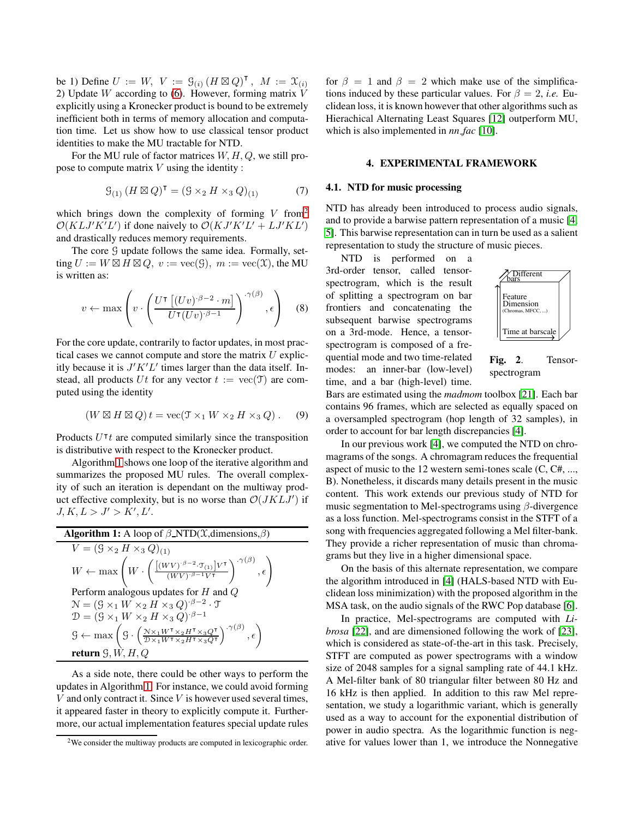be 1) Define  $U := W$ ,  $V := \mathcal{G}_{(i)} (H \boxtimes Q)^{\mathsf{T}}$ ,  $M := \mathcal{X}_{(i)}$ 2) Update  $W$  according to [\(6\)](#page-1-2). However, forming matrix  $V$ explicitly using a Kronecker product is bound to be extremely inefficient both in terms of memory allocation and computation time. Let us show how to use classical tensor product identities to make the MU tractable for NTD.

For the MU rule of factor matrices  $W, H, Q$ , we still propose to compute matrix  $V$  using the identity :

$$
\mathcal{G}_{(1)} (H \boxtimes Q)^{\mathsf{T}} = (\mathcal{G} \times_2 H \times_3 Q)_{(1)} \tag{7}
$$

which brings down the complexity of forming  $V$  from<sup>[2](#page-2-0)</sup>  $\mathcal{O}(KLJ'K'L')$  if done naively to  $\mathcal{O}(KJ'K'L' + LJ'KL')$ and drastically reduces memory requirements.

The core  $G$  update follows the same idea. Formally, setting  $U := W \boxtimes H \boxtimes Q$ ,  $v := \text{vec}(\mathcal{G})$ ,  $m := \text{vec}(\mathcal{X})$ , the MU is written as:

$$
v \leftarrow \max\left(v \cdot \left(\frac{U^{\mathsf{T}}\left[(Uv)^{\cdot \beta - 2} \cdot m\right]}{U^{\mathsf{T}}(Uv)^{\cdot \beta - 1}}\right)^{\cdot \gamma(\beta)}, \epsilon\right) \quad (8)
$$

For the core update, contrarily to factor updates, in most practical cases we cannot compute and store the matrix  $U$  explicitly because it is  $J'K'L'$  times larger than the data itself. Instead, all products Ut for any vector  $t := \text{vec}(\mathfrak{I})$  are computed using the identity

$$
(W \boxtimes H \boxtimes Q) t = \text{vec}(\mathfrak{I} \times_1 W \times_2 H \times_3 Q).
$$
 (9)

Products  $U^{\dagger}t$  are computed similarly since the transposition is distributive with respect to the Kronecker product.

Algorithm [1](#page-2-1) shows one loop of the iterative algorithm and summarizes the proposed MU rules. The overall complexity of such an iteration is dependant on the multiway product effective complexity, but is no worse than  $\mathcal{O}(JKLJ')$  if  $J, K, L > J' > K', L'.$ 

<span id="page-2-1"></span>Algorithm 1: A loop of 
$$
\beta
$$
-NTD( $\mathcal{X}$ ,dimensions, $\beta$ )  
\n
$$
V = (S \times_2 H \times_3 Q)_{(1)}
$$
\n
$$
W \leftarrow \max \left( W \cdot \left( \frac{[(WV)^{\cdot \beta - 2} \cdot T_{(1)}]V^{\mathsf{T}}}{(WV)^{\cdot \beta - 1}V^{\mathsf{T}}} \right)^{-\gamma(\beta)}, \epsilon \right)
$$
\nPerform analogous updates for  $H$  and  $Q$   
\n
$$
\mathcal{N} = (S \times_1 W \times_2 H \times_3 Q)^{\cdot \beta - 2} \cdot \mathcal{T}
$$
\n
$$
\mathcal{D} = (S \times_1 W \times_2 H \times_3 Q)^{\cdot \beta - 1}
$$
\n
$$
S \leftarrow \max \left( S \cdot \left( \frac{N \times_1 W^{\mathsf{T}} \times_2 H^{\mathsf{T}} \times_3 Q^{\mathsf{T}}}{D \times_1 W^{\mathsf{T}} \times_2 H^{\mathsf{T}} \times_3 Q^{\mathsf{T}}}\right)^{-\gamma(\beta)}, \epsilon \right)
$$
\nreturn  $S, W, H, Q$ 

As a side note, there could be other ways to perform the updates in Algorithm [1.](#page-2-1) For instance, we could avoid forming  $V$  and only contract it. Since  $V$  is however used several times, it appeared faster in theory to explicitly compute it. Furthermore, our actual implementation features special update rules

for  $\beta = 1$  and  $\beta = 2$  which make use of the simplifications induced by these particular values. For  $\beta = 2$ , *i.e.* Euclidean loss, it is known however that other algorithms such as Hierachical Alternating Least Squares [\[12\]](#page-4-11) outperform MU, which is also implemented in *nn fac* [\[10\]](#page-4-9).

### 4. EXPERIMENTAL FRAMEWORK

## 4.1. NTD for music processing

NTD has already been introduced to process audio signals, and to provide a barwise pattern representation of a music [\[4,](#page-4-3) [5\]](#page-4-4). This barwise representation can in turn be used as a salient representation to study the structure of music pieces.

NTD is performed on a 3rd-order tensor, called tensorspectrogram, which is the result of splitting a spectrogram on bar frontiers and concatenating the subsequent barwise spectrograms on a 3rd-mode. Hence, a tensorspectrogram is composed of a frequential mode and two time-related modes: an inner-bar (low-level) time, and a bar (high-level) time.



Fig. 2. Tensorspectrogram

Bars are estimated using the *madmom* toolbox [\[21\]](#page-4-18). Each bar contains 96 frames, which are selected as equally spaced on a oversampled spectrogram (hop length of 32 samples), in order to account for bar length discrepancies [\[4\]](#page-4-3).

In our previous work [\[4\]](#page-4-3), we computed the NTD on chromagrams of the songs. A chromagram reduces the frequential aspect of music to the 12 western semi-tones scale (C, C#, ..., B). Nonetheless, it discards many details present in the music content. This work extends our previous study of NTD for music segmentation to Mel-spectrograms using  $\beta$ -divergence as a loss function. Mel-spectrograms consist in the STFT of a song with frequencies aggregated following a Mel filter-bank. They provide a richer representation of music than chromagrams but they live in a higher dimensional space.

On the basis of this alternate representation, we compare the algorithm introduced in [\[4\]](#page-4-3) (HALS-based NTD with Euclidean loss minimization) with the proposed algorithm in the MSA task, on the audio signals of the RWC Pop database [\[6\]](#page-4-5).

In practice, Mel-spectrograms are computed with *Librosa* [\[22\]](#page-4-19), and are dimensioned following the work of [\[23\]](#page-4-20), which is considered as state-of-the-art in this task. Precisely, STFT are computed as power spectrograms with a window size of 2048 samples for a signal sampling rate of 44.1 kHz. A Mel-filter bank of 80 triangular filter between 80 Hz and 16 kHz is then applied. In addition to this raw Mel representation, we study a logarithmic variant, which is generally used as a way to account for the exponential distribution of power in audio spectra. As the logarithmic function is negative for values lower than 1, we introduce the Nonnegative

<span id="page-2-0"></span> $2$ We consider the multiway products are computed in lexicographic order.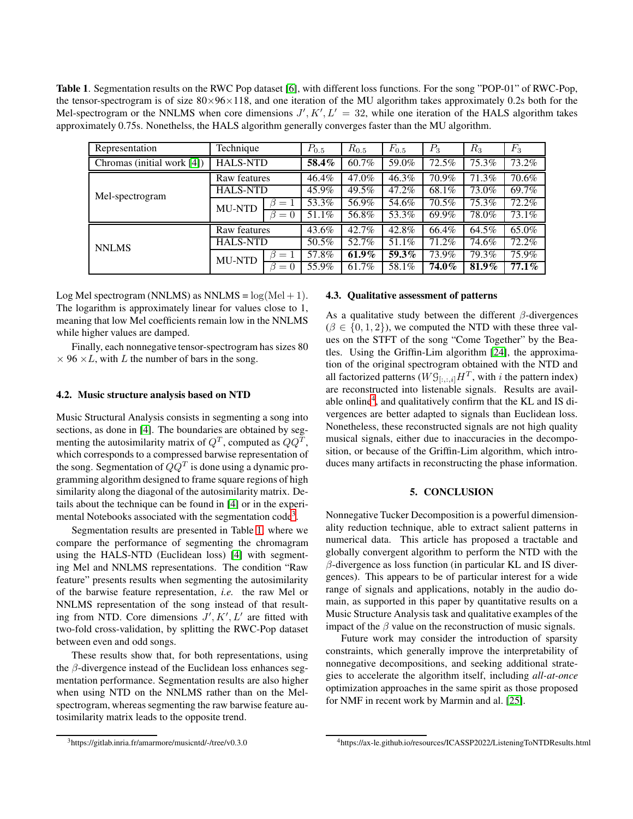<span id="page-3-1"></span>Table 1. Segmentation results on the RWC Pop dataset [\[6\]](#page-4-5), with different loss functions. For the song "POP-01" of RWC-Pop, the tensor-spectrogram is of size  $80\times96\times118$ , and one iteration of the MU algorithm takes approximately 0.2s both for the Mel-spectrogram or the NNLMS when core dimensions  $J', K', L' = 32$ , while one iteration of the HALS algorithm takes approximately 0.75s. Nonethelss, the HALS algorithm generally converges faster than the MU algorithm.

| Representation                | Technique       |             | $P_{0.5}$ | $R_{0.5}$ | $F_{0.5}$ | $P_3$ | $R_3$           | $F_3$ |
|-------------------------------|-----------------|-------------|-----------|-----------|-----------|-------|-----------------|-------|
| Chromas (initial work $[4]$ ) | <b>HALS-NTD</b> |             | 58.4%     | 60.7%     | 59.0%     | 72.5% | $\sqrt{75.3\%}$ | 73.2% |
| Mel-spectrogram               | Raw features    |             | 46.4%     | 47.0%     | 46.3%     | 70.9% | 71.3%           | 70.6% |
|                               | <b>HALS-NTD</b> |             | 45.9%     | $49.5\%$  | 47.2%     | 68.1% | 73.0%           | 69.7% |
|                               | <b>MU-NTD</b>   | $=1$        | 53.3%     | 56.9%     | 54.6%     | 70.5% | 75.3%           | 72.2% |
|                               |                 | $\beta = 0$ | 51.1%     | 56.8%     | 53.3%     | 69.9% | 78.0%           | 73.1% |
| <b>NNLMS</b>                  | Raw features    |             | 43.6%     | 42.7%     | 42.8%     | 66.4% | 64.5%           | 65.0% |
|                               | <b>HALS-NTD</b> |             | 50.5%     | 52.7%     | 51.1%     | 71.2% | 74.6%           | 72.2% |
|                               | <b>MU-NTD</b>   | $=1$        | 57.8%     | $61.9\%$  | 59.3%     | 73.9% | 79.3%           | 75.9% |
|                               |                 | ß<br>$= 0$  | 55.9%     | 61.7%     | 58.1%     | 74.0% | 81.9%           | 77.1% |

Log Mel spectrogram (NNLMS) as NNLMS =  $log(Mel + 1)$ . The logarithm is approximately linear for values close to 1, meaning that low Mel coefficients remain low in the NNLMS while higher values are damped.

Finally, each nonnegative tensor-spectrogram has sizes 80  $\times$  96  $\times$  L, with L the number of bars in the song.

#### 4.2. Music structure analysis based on NTD

Music Structural Analysis consists in segmenting a song into sections, as done in [\[4\]](#page-4-3). The boundaries are obtained by segmenting the autosimilarity matrix of  $Q^T$ , computed as  $QQ^T$ , which corresponds to a compressed barwise representation of the song. Segmentation of  $QQ^T$  is done using a dynamic programming algorithm designed to frame square regions of high similarity along the diagonal of the autosimilarity matrix. Details about the technique can be found in [\[4\]](#page-4-3) or in the experi-mental Notebooks associated with the segmentation code<sup>[3](#page-3-0)</sup>.

Segmentation results are presented in Table [1,](#page-3-1) where we compare the performance of segmenting the chromagram using the HALS-NTD (Euclidean loss) [\[4\]](#page-4-3) with segmenting Mel and NNLMS representations. The condition "Raw feature" presents results when segmenting the autosimilarity of the barwise feature representation, *i.e.* the raw Mel or NNLMS representation of the song instead of that resulting from NTD. Core dimensions  $J', K', L'$  are fitted with two-fold cross-validation, by splitting the RWC-Pop dataset between even and odd songs.

These results show that, for both representations, using the  $\beta$ -divergence instead of the Euclidean loss enhances segmentation performance. Segmentation results are also higher when using NTD on the NNLMS rather than on the Melspectrogram, whereas segmenting the raw barwise feature autosimilarity matrix leads to the opposite trend.

# 4.3. Qualitative assessment of patterns

As a qualitative study between the different  $\beta$ -divergences  $(\beta \in \{0, 1, 2\})$ , we computed the NTD with these three values on the STFT of the song "Come Together" by the Beatles. Using the Griffin-Lim algorithm [\[24\]](#page-4-21), the approximation of the original spectrogram obtained with the NTD and all factorized patterns ( $W \mathcal{G}_{[:, :, i]} H^T$ , with i the pattern index) are reconstructed into listenable signals. Results are avail-able online<sup>[4](#page-3-2)</sup>, and qualitatively confirm that the KL and IS divergences are better adapted to signals than Euclidean loss. Nonetheless, these reconstructed signals are not high quality musical signals, either due to inaccuracies in the decomposition, or because of the Griffin-Lim algorithm, which introduces many artifacts in reconstructing the phase information.

## 5. CONCLUSION

Nonnegative Tucker Decomposition is a powerful dimensionality reduction technique, able to extract salient patterns in numerical data. This article has proposed a tractable and globally convergent algorithm to perform the NTD with the  $\beta$ -divergence as loss function (in particular KL and IS divergences). This appears to be of particular interest for a wide range of signals and applications, notably in the audio domain, as supported in this paper by quantitative results on a Music Structure Analysis task and qualitative examples of the impact of the  $\beta$  value on the reconstruction of music signals.

Future work may consider the introduction of sparsity constraints, which generally improve the interpretability of nonnegative decompositions, and seeking additional strategies to accelerate the algorithm itself, including *all-at-once* optimization approaches in the same spirit as those proposed for NMF in recent work by Marmin and al. [\[25\]](#page-4-22).

<span id="page-3-0"></span><sup>3</sup>https://gitlab.inria.fr/amarmore/musicntd/-/tree/v0.3.0

<span id="page-3-2"></span><sup>4</sup>https://ax-le.github.io/resources/ICASSP2022/ListeningToNTDResults.html